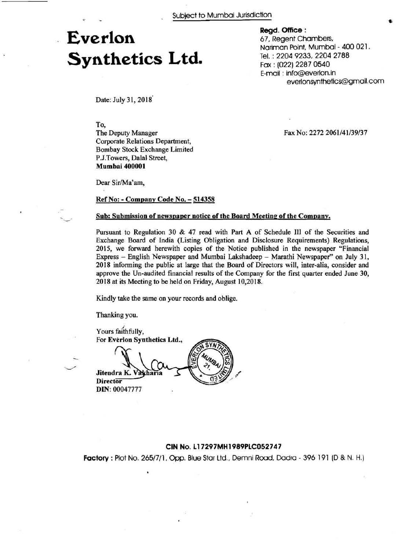# - **Everlon Synthetics Ltd.**

**Regd. Office** :

67, Regent Chambers, Nariman Point, Mumbai - 400 021. Tel. : 2204 9233,2204 2788 Fax : (022) 2287 0540 E-mail : info@everlon.in everlonsynthetics@gmail.com

Fax No: 2272 2061/41/39/37

Date: July 31, 2018<sup>'</sup>

#### To,

-  $\sim$ 

The Deputy Manager Corporate Relations Department, Bombay Stock Exchange Limited P.J.Towers, Dalal Street, **Mumbai 400001** 

Dear Sir/Ma'am,

# **Ref No:** - **Company Code No.** - **<sup>514358</sup>**

## Sub: Submission of newspaper notice of the Board Meeting of the Company.

Pursuant to Regulation 30 & 47 read with Part A of Schedule **I11** of the Securities and Exchange Board of India (Listing Obligation and Disclosure Requirements) Regulations, 2015, we forward herewith copies of the Notice published in the newspaper "Financial Express - English Newspaper and Mumbai Lakshadeep - Marathi Newspaper" on July 31, 2018 informing the public at large that the Board of Directors will, inter-alia, consider and approve the Un-audited financial results of the Company for the first quarter ended June 30, 2018 at its Meeting to be held on Friday, August 10,2018.

Kindly take the same on your records and oblige.

Thanking you.

Yours faithfully, For **Everlon Synthetics Ltd.,**  $\frac{Y}{F}$ 

Fiterdra K Varhause (21, 27, 24) **Jitendra K.**   $Director$ **DIN:** 00047777

## **CIN No. 11 7297MH1989PLCO52747**

**Factory :** Plot No. 265/7/1, Opp. Blue Star Ltd., Demni Road, Dadra - 396 191 (D & N. H.)